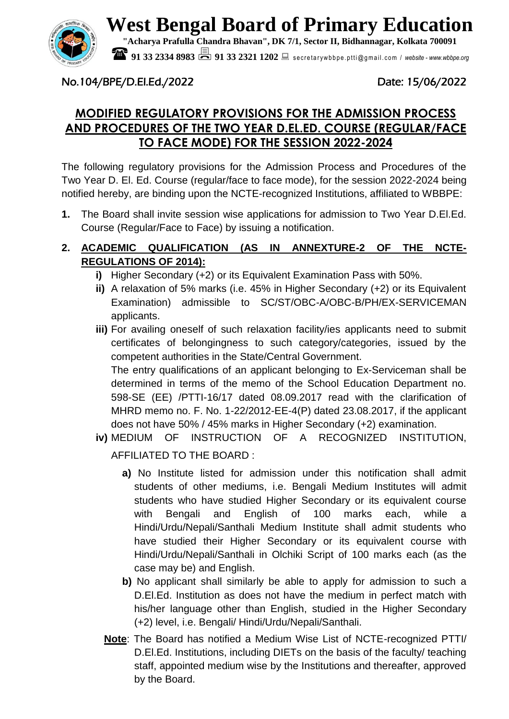

**West Bengal Board of Primary Education**

**"Acharya Prafulla Chandra Bhavan", DK 7/1, Sector II, Bidhannagar, Kolkata 700091**

**91 33 2334 8983 <br><b>91 33 2321 1202** Becretarywbbpe.ptti@gmail.com / website - *www.wbbpe.org* 

# No.104/BPE/D.El.Ed./2022 Date: 15/06/2022

# **MODIFIED REGULATORY PROVISIONS FOR THE ADMISSION PROCESS AND PROCEDURES OF THE TWO YEAR D.EL.ED. COURSE (REGULAR/FACE TO FACE MODE) FOR THE SESSION 2022-2024**

The following regulatory provisions for the Admission Process and Procedures of the Two Year D. El. Ed. Course (regular/face to face mode), for the session 2022-2024 being notified hereby, are binding upon the NCTE-recognized Institutions, affiliated to WBBPE:

**1.** The Board shall invite session wise applications for admission to Two Year D.El.Ed. Course (Regular/Face to Face) by issuing a notification.

# **2. ACADEMIC QUALIFICATION (AS IN ANNEXTURE-2 OF THE NCTE-REGULATIONS OF 2014):**

- **i)** Higher Secondary (+2) or its Equivalent Examination Pass with 50%.
- **ii)** A relaxation of 5% marks (i.e. 45% in Higher Secondary (+2) or its Equivalent Examination) admissible to SC/ST/OBC-A/OBC-B/PH/EX-SERVICEMAN applicants.
- **iii)** For availing oneself of such relaxation facility/ies applicants need to submit certificates of belongingness to such category/categories, issued by the competent authorities in the State/Central Government.

The entry qualifications of an applicant belonging to Ex-Serviceman shall be determined in terms of the memo of the School Education Department no. 598-SE (EE) /PTTI-16/17 dated 08.09.2017 read with the clarification of MHRD memo no. F. No. 1-22/2012-EE-4(P) dated 23.08.2017, if the applicant does not have 50% / 45% marks in Higher Secondary (+2) examination.

**iv)** MEDIUM OF INSTRUCTION OF A RECOGNIZED INSTITUTION, AFFILIATED TO THE BOARD :

**a)** No Institute listed for admission under this notification shall admit students of other mediums, i.e. Bengali Medium Institutes will admit students who have studied Higher Secondary or its equivalent course with Bengali and English of 100 marks each, while a Hindi/Urdu/Nepali/Santhali Medium Institute shall admit students who have studied their Higher Secondary or its equivalent course with Hindi/Urdu/Nepali/Santhali in Olchiki Script of 100 marks each (as the case may be) and English.

- **b)** No applicant shall similarly be able to apply for admission to such a D.El.Ed. Institution as does not have the medium in perfect match with his/her language other than English, studied in the Higher Secondary (+2) level, i.e. Bengali/ Hindi/Urdu/Nepali/Santhali.
- **Note**: The Board has notified a Medium Wise List of NCTE-recognized PTTI/ D.El.Ed. Institutions, including DIETs on the basis of the faculty/ teaching staff, appointed medium wise by the Institutions and thereafter, approved by the Board.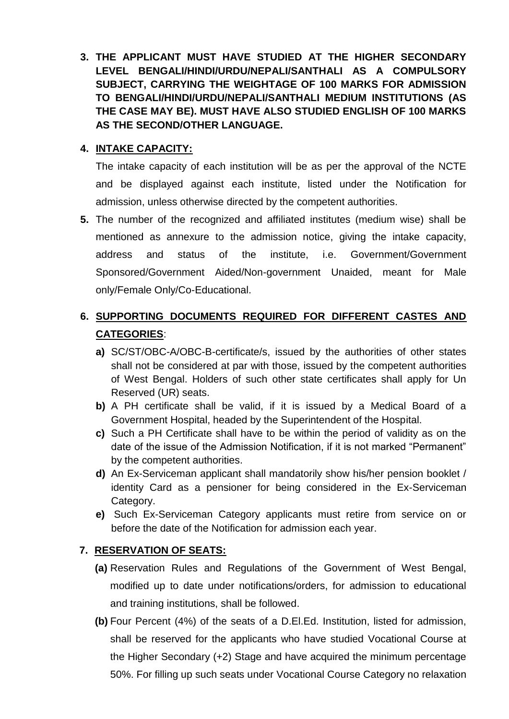**3. THE APPLICANT MUST HAVE STUDIED AT THE HIGHER SECONDARY LEVEL BENGALI/HINDI/URDU/NEPALI/SANTHALI AS A COMPULSORY SUBJECT, CARRYING THE WEIGHTAGE OF 100 MARKS FOR ADMISSION TO BENGALI/HINDI/URDU/NEPALI/SANTHALI MEDIUM INSTITUTIONS (AS THE CASE MAY BE). MUST HAVE ALSO STUDIED ENGLISH OF 100 MARKS AS THE SECOND/OTHER LANGUAGE.**

## **4. INTAKE CAPACITY:**

The intake capacity of each institution will be as per the approval of the NCTE and be displayed against each institute, listed under the Notification for admission, unless otherwise directed by the competent authorities.

**5.** The number of the recognized and affiliated institutes (medium wise) shall be mentioned as annexure to the admission notice, giving the intake capacity, address and status of the institute, i.e. Government/Government Sponsored/Government Aided/Non-government Unaided, meant for Male only/Female Only/Co-Educational.

# **6. SUPPORTING DOCUMENTS REQUIRED FOR DIFFERENT CASTES AND CATEGORIES**:

- **a)** SC/ST/OBC-A/OBC-B-certificate/s, issued by the authorities of other states shall not be considered at par with those, issued by the competent authorities of West Bengal. Holders of such other state certificates shall apply for Un Reserved (UR) seats.
- **b)** A PH certificate shall be valid, if it is issued by a Medical Board of a Government Hospital, headed by the Superintendent of the Hospital.
- **c)** Such a PH Certificate shall have to be within the period of validity as on the date of the issue of the Admission Notification, if it is not marked "Permanent" by the competent authorities.
- **d)** An Ex-Serviceman applicant shall mandatorily show his/her pension booklet / identity Card as a pensioner for being considered in the Ex-Serviceman Category.
- **e)** Such Ex-Serviceman Category applicants must retire from service on or before the date of the Notification for admission each year.

# **7. RESERVATION OF SEATS:**

- **(a)** Reservation Rules and Regulations of the Government of West Bengal, modified up to date under notifications/orders, for admission to educational and training institutions, shall be followed.
- **(b)** Four Percent (4%) of the seats of a D.El.Ed. Institution, listed for admission, shall be reserved for the applicants who have studied Vocational Course at the Higher Secondary (+2) Stage and have acquired the minimum percentage 50%. For filling up such seats under Vocational Course Category no relaxation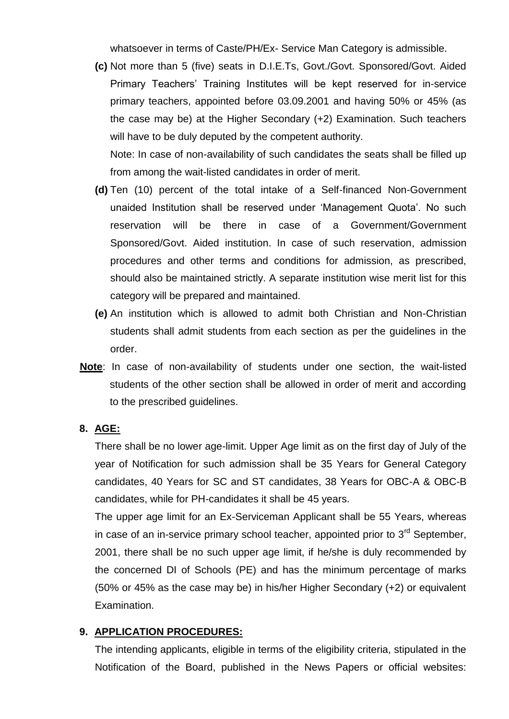whatsoever in terms of Caste/PH/Ex- Service Man Category is admissible.

**(c)** Not more than 5 (five) seats in D.I.E.Ts, Govt./Govt. Sponsored/Govt. Aided Primary Teachers' Training Institutes will be kept reserved for in-service primary teachers, appointed before 03.09.2001 and having 50% or 45% (as the case may be) at the Higher Secondary (+2) Examination. Such teachers will have to be duly deputed by the competent authority.

Note: In case of non-availability of such candidates the seats shall be filled up from among the wait-listed candidates in order of merit.

- **(d)** Ten (10) percent of the total intake of a Self-financed Non-Government unaided Institution shall be reserved under 'Management Quota'. No such reservation will be there in case of a Government/Government Sponsored/Govt. Aided institution. In case of such reservation, admission procedures and other terms and conditions for admission, as prescribed, should also be maintained strictly. A separate institution wise merit list for this category will be prepared and maintained.
- **(e)** An institution which is allowed to admit both Christian and Non-Christian students shall admit students from each section as per the guidelines in the order.
- **Note**: In case of non-availability of students under one section, the wait-listed students of the other section shall be allowed in order of merit and according to the prescribed guidelines.

#### **8. AGE:**

There shall be no lower age-limit. Upper Age limit as on the first day of July of the year of Notification for such admission shall be 35 Years for General Category candidates, 40 Years for SC and ST candidates, 38 Years for OBC-A & OBC-B candidates, while for PH-candidates it shall be 45 years.

The upper age limit for an Ex-Serviceman Applicant shall be 55 Years, whereas in case of an in-service primary school teacher, appointed prior to  $3<sup>rd</sup>$  September. 2001, there shall be no such upper age limit, if he/she is duly recommended by the concerned DI of Schools (PE) and has the minimum percentage of marks (50% or 45% as the case may be) in his/her Higher Secondary (+2) or equivalent Examination.

#### **9. APPLICATION PROCEDURES:**

The intending applicants, eligible in terms of the eligibility criteria, stipulated in the Notification of the Board, published in the News Papers or official websites: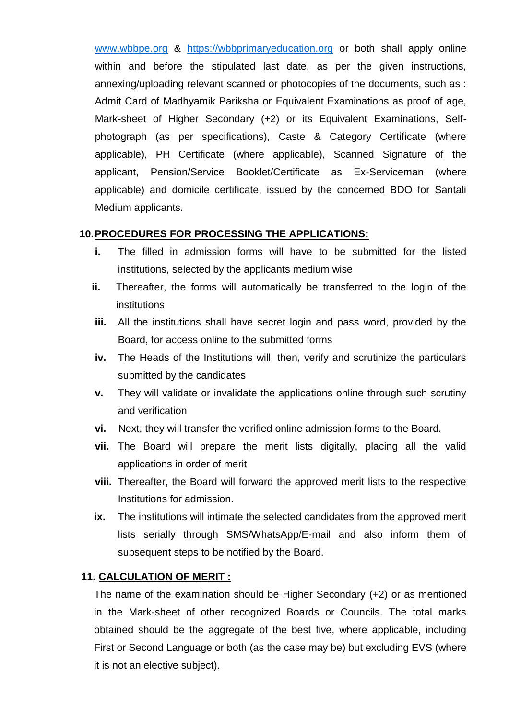[www.wbbpe.org](http://www.wbbpe.org/) & [https://wbbprimaryeducation.org](https://wbbprimaryeducation.org/) or both shall apply online within and before the stipulated last date, as per the given instructions, annexing/uploading relevant scanned or photocopies of the documents, such as : Admit Card of Madhyamik Pariksha or Equivalent Examinations as proof of age, Mark-sheet of Higher Secondary (+2) or its Equivalent Examinations, Selfphotograph (as per specifications), Caste & Category Certificate (where applicable), PH Certificate (where applicable), Scanned Signature of the applicant, Pension/Service Booklet/Certificate as Ex-Serviceman (where applicable) and domicile certificate, issued by the concerned BDO for Santali Medium applicants.

#### **10.PROCEDURES FOR PROCESSING THE APPLICATIONS:**

- **i.** The filled in admission forms will have to be submitted for the listed institutions, selected by the applicants medium wise
- **ii.** Thereafter, the forms will automatically be transferred to the login of the institutions
- **iii.** All the institutions shall have secret login and pass word, provided by the Board, for access online to the submitted forms
- **iv.** The Heads of the Institutions will, then, verify and scrutinize the particulars submitted by the candidates
- **v.** They will validate or invalidate the applications online through such scrutiny and verification
- **vi.** Next, they will transfer the verified online admission forms to the Board.
- **vii.** The Board will prepare the merit lists digitally, placing all the valid applications in order of merit
- **viii.** Thereafter, the Board will forward the approved merit lists to the respective Institutions for admission.
- **ix.** The institutions will intimate the selected candidates from the approved merit lists serially through SMS/WhatsApp/E-mail and also inform them of subsequent steps to be notified by the Board.

## **11. CALCULATION OF MERIT :**

The name of the examination should be Higher Secondary (+2) or as mentioned in the Mark-sheet of other recognized Boards or Councils. The total marks obtained should be the aggregate of the best five, where applicable, including First or Second Language or both (as the case may be) but excluding EVS (where it is not an elective subject).